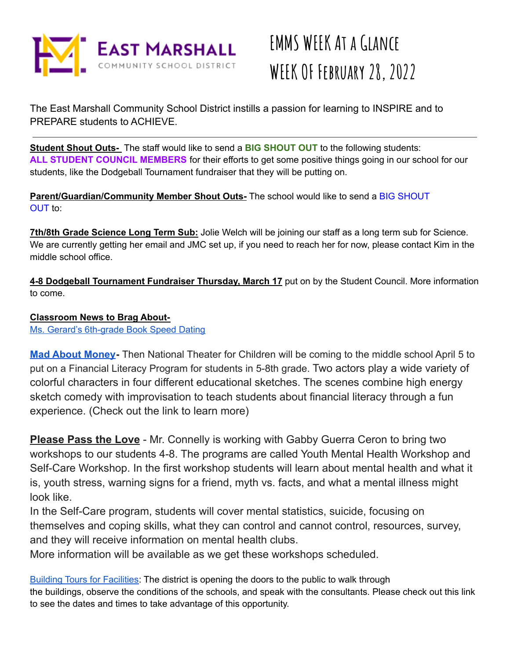

The East Marshall Community School District instills a passion for learning to INSPIRE and to PREPARE students to ACHIEVE.

**Student Shout Outs-** The staff would like to send a **BIG SHOUT OUT** to the following students: **ALL STUDENT COUNCIL MEMBERS** for their efforts to get some positive things going in our school for our students, like the Dodgeball Tournament fundraiser that they will be putting on.

**Parent/Guardian/Community Member Shout Outs-** The school would like to send a BIG SHOUT OUT to:

**7th/8th Grade Science Long Term Sub:** Jolie Welch will be joining our staff as a long term sub for Science. We are currently getting her email and JMC set up, if you need to reach her for now, please contact Kim in the middle school office.

**4-8 Dodgeball Tournament Fundraiser Thursday, March 17** put on by the Student Council. More information to come.

### **Classroom News to Brag About-**

Ms. Gerard's [6th-grade](https://drive.google.com/drive/folders/1wGBpaGoizAAjhK-X8aFws2JICY03Qb04?usp=sharing) Book Speed Dating

**[Mad About Money](https://nationaltheatre.com/program/mad-about-money/)-** Then National Theater for Children will be coming to the middle school April 5 to put on a Financial Literacy Program for students in 5-8th grade. Two actors play a wide variety of colorful characters in four different educational sketches. The scenes combine high energy sketch comedy with improvisation to teach students about financial literacy through a fun experience. (Check out the link to learn more)

**Please Pass the Love** - Mr. Connelly is working with Gabby Guerra Ceron to bring two workshops to our students 4-8. The programs are called Youth Mental Health Workshop and Self-Care Workshop. In the first workshop students will learn about mental health and what it is, youth stress, warning signs for a friend, myth vs. facts, and what a mental illness might look like.

In the Self-Care program, students will cover mental statistics, suicide, focusing on themselves and coping skills, what they can control and cannot control, resources, survey, and they will receive information on mental health clubs.

More information will be available as we get these workshops scheduled.

Building Tours for [Facilities:](https://drive.google.com/open?id=1e3shccVirzGZq7eT-_uccpIHD9pkoLhe) The district is opening the doors to the public to walk through the buildings, observe the conditions of the schools, and speak with the consultants. Please check out this link to see the dates and times to take advantage of this opportunity.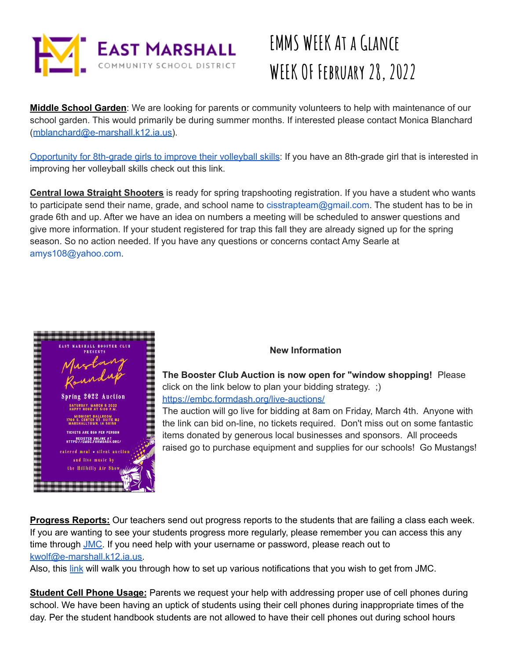

**Middle School Garden**: We are looking for parents or community volunteers to help with maintenance of our school garden. This would primarily be during summer months. If interested please contact Monica Blanchard ([mblanchard@e-marshall.k12.ia.us\)](mailto:mblanchard@e-marshall.k12.ia.us).

[Opportunity](https://docs.google.com/document/d/1Ag4tN9oeQ827FAmb_U9cBulA4KYn1N4KDiD0QMWKHfQ/edit?usp=sharing) for 8th-grade girls to improve their volleyball skills: If you have an 8th-grade girl that is interested in improving her volleyball skills check out this link.

**Central Iowa Straight Shooters** is ready for spring trapshooting registration. If you have a student who wants to participate send their name, grade, and school name to cisstrapteam@gmail.com. The student has to be in grade 6th and up. After we have an idea on numbers a meeting will be scheduled to answer questions and give more information. If your student registered for trap this fall they are already signed up for the spring season. So no action needed. If you have any questions or concerns contact Amy Searle at amys108@yahoo.com.



### **New Information**

**The Booster Club Auction is now open for "window shopping!** Please click on the link below to plan your bidding strategy. ;) <https://embc.formdash.org/live-auctions/>

The auction will go live for bidding at 8am on Friday, March 4th. Anyone with the link can bid on-line, no tickets required. Don't miss out on some fantastic items donated by generous local businesses and sponsors. All proceeds raised go to purchase equipment and supplies for our schools! Go Mustangs!

**Progress Reports:** Our teachers send out progress reports to the students that are failing a class each week. If you are wanting to see your students progress more regularly, please remember you can access this any time through [JMC.](https://emjmc.e-marshall.k12.ia.us/) If you need help with your username or password, please reach out to [kwolf@e-marshall.k12.ia.us.](mailto:kwolf@e-marshall.k12.ia.us)

Also, this [link](https://drive.google.com/open?id=1W0ZPkBJGzFtOqRGvkwLNcDREReSx9G39) will walk you through how to set up various notifications that you wish to get from JMC.

**Student Cell Phone Usage:** Parents we request your help with addressing proper use of cell phones during school. We have been having an uptick of students using their cell phones during inappropriate times of the day. Per the student handbook students are not allowed to have their cell phones out during school hours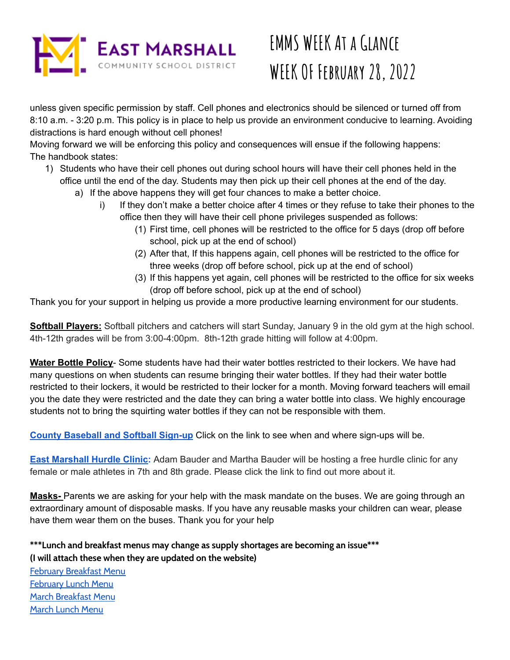

unless given specific permission by staff. Cell phones and electronics should be silenced or turned off from 8:10 a.m. - 3:20 p.m. This policy is in place to help us provide an environment conducive to learning. Avoiding distractions is hard enough without cell phones!

Moving forward we will be enforcing this policy and consequences will ensue if the following happens: The handbook states:

- 1) Students who have their cell phones out during school hours will have their cell phones held in the office until the end of the day. Students may then pick up their cell phones at the end of the day.
	- a) If the above happens they will get four chances to make a better choice.
		- i) If they don't make a better choice after 4 times or they refuse to take their phones to the office then they will have their cell phone privileges suspended as follows:
			- (1) First time, cell phones will be restricted to the office for 5 days (drop off before school, pick up at the end of school)
			- (2) After that, If this happens again, cell phones will be restricted to the office for three weeks (drop off before school, pick up at the end of school)
			- (3) If this happens yet again, cell phones will be restricted to the office for six weeks (drop off before school, pick up at the end of school)

Thank you for your support in helping us provide a more productive learning environment for our students.

**Softball Players:** Softball pitchers and catchers will start Sunday, January 9 in the old gym at the high school. 4th-12th grades will be from 3:00-4:00pm. 8th-12th grade hitting will follow at 4:00pm.

**Water Bottle Policy**- Some students have had their water bottles restricted to their lockers. We have had many questions on when students can resume bringing their water bottles. If they had their water bottle restricted to their lockers, it would be restricted to their locker for a month. Moving forward teachers will email you the date they were restricted and the date they can bring a water bottle into class. We highly encourage students not to bring the squirting water bottles if they can not be responsible with them.

**County [Baseball](https://drive.google.com/file/d/1rNsnprgo3g6KIPkkCMNEyq7hLfdecQe-/view?usp=sharing) and Softball Sign-up** Click on the link to see when and where sign-ups will be.

**East [Marshall](https://drive.google.com/file/d/1zJ_rXdRQP8bThL2PZIgOe8EHFqT_CFEO/view?usp=sharing) Hurdle Clinic:** Adam Bauder and Martha Bauder will be hosting a free hurdle clinic for any female or male athletes in 7th and 8th grade. Please click the link to find out more about it.

**Masks-** Parents we are asking for your help with the mask mandate on the buses. We are going through an extraordinary amount of disposable masks. If you have any reusable masks your children can wear, please have them wear them on the buses. Thank you for your help

**\*\*\*Lunch and breakfast menus may change as supply shortages are becoming an issue\*\*\* (I will attach these when they are updated on the website)**

February [Breakfast](https://www.emmustangs.org/app/uploads/2022/01/February-2022-Breakfast-Menu.pdf) Menu [February](https://www.emmustangs.org/app/uploads/2022/01/February-2022-Lunch-Menu.pdf) Lunch Menu March [Breakfast](https://www.emmustangs.org/app/uploads/2022/02/March-2022-Breakfast-Menu.pdf) Menu [March](https://www.emmustangs.org/app/uploads/2022/02/March-2022-Lunch-Menu.pdf) Lunch Menu